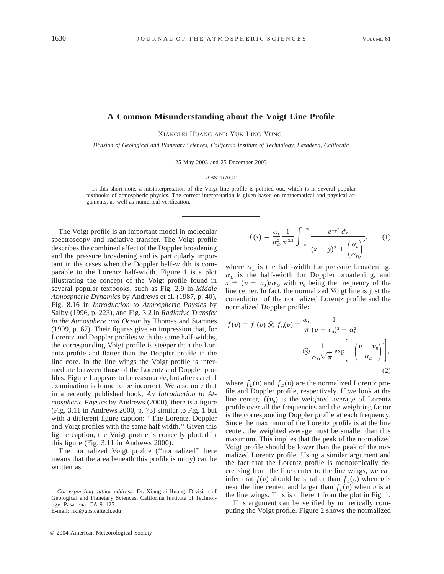## **A Common Misunderstanding about the Voigt Line Profile**

XIANGLEI HUANG AND YUK LING YUNG

*Division of Geological and Planetary Sciences, California Institute of Technology, Pasadena, California*

25 May 2003 and 25 December 2003

## ABSTRACT

In this short note, a misinterpretation of the Voigt line profile is pointed out, which is in several popular textbooks of atmospheric physics. The correct interpretation is given based on mathematical and physical arguments, as well as numerical verification.

The Voigt profile is an important model in molecular spectroscopy and radiative transfer. The Voigt profile describes the combined effect of the Doppler broadening and the pressure broadening and is particularly important in the cases when the Doppler half-width is comparable to the Lorentz half-width. Figure 1 is a plot illustrating the concept of the Voigt profile found in several popular textbooks, such as Fig. 2.9 in *Middle Atmospheric Dynamics* by Andrews et al. (1987, p. 40), Fig. 8.16 in *Introduction to Atmospheric Physics* by Salby (1996, p. 223), and Fig. 3.2 in *Radiative Transfer in the Atmosphere and Ocean* by Thomas and Stamnes (1999, p. 67). Their figures give an impression that, for Lorentz and Doppler profiles with the same half-widths, the corresponding Voigt profile is steeper than the Lorentz profile and flatter than the Doppler profile in the line core. In the line wings the Voigt profile is intermediate between those of the Lorentz and Doppler profiles. Figure 1 appears to be reasonable, but after careful examination is found to be incorrect. We also note that in a recently published book, *An Introduction to Atmospheric Physics* by Andrews (2000), there is a figure (Fig. 3.11 in Andrews 2000, p. 73) similar to Fig. 1 but with a different figure caption: ''The Lorentz, Doppler and Voigt profiles with the same half width.'' Given this figure caption, the Voigt profile is correctly plotted in this figure (Fig. 3.11 in Andrews 2000).

The normalized Voigt profile (''normalized'' here means that the area beneath this profile is unity) can be written as

$$
f(x) = \frac{\alpha_L}{\alpha_D^2} \frac{1}{\pi^{3/2}} \int_{-\infty}^{+\infty} \frac{e^{-y^2} dy}{(x - y)^2 + \left(\frac{\alpha_L}{\alpha_D}\right)^2},
$$
 (1)

where  $\alpha_L$  is the half-width for pressure broadening,  $\alpha_D$  is the half-width for Doppler broadening, and  $x \equiv (v - v_0)/\alpha_D$  with  $v_0$  being the frequency of the line center. In fact, the normalized Voigt line is just the convolution of the normalized Lorentz profile and the normalized Doppler profile:

$$
f(v) = f_L(v) \otimes f_D(v) = \frac{\alpha_L}{\pi} \frac{1}{(v - v_0)^2 + \alpha_L^2}
$$

$$
\otimes \frac{1}{\alpha_D \sqrt{\pi}} \exp\left[-\left(\frac{v - v_0}{\alpha_D}\right)^2\right],
$$
\n(2)

where  $f_l(v)$  and  $f_p(v)$  are the normalized Lorentz profile and Doppler profile, respectively. If we look at the line center,  $f(v_0)$  is the weighted average of Lorentz profile over all the frequencies and the weighting factor is the corresponding Doppler profile at each frequency. Since the maximum of the Lorentz profile is at the line center, the weighted average must be smaller than this maximum. This implies that the peak of the normalized Voigt profile should be lower than the peak of the normalized Lorentz profile. Using a similar argument and the fact that the Lorentz profile is monotonically decreasing from the line center to the line wings, we can infer that  $f(v)$  should be smaller than  $f_l(v)$  when v is near the line center, and larger than  $f_L(v)$  when v is at the line wings. This is different from the plot in Fig. 1.

This argument can be verified by numerically computing the Voigt profile. Figure 2 shows the normalized

*Corresponding author address:* Dr. Xianglei Huang, Division of Geological and Planetary Sciences, California Institute of Technology, Pasadena, CA 91125. E-mail: hxl@gps.caltech.edu

 $© 2004$  American Meteorological Society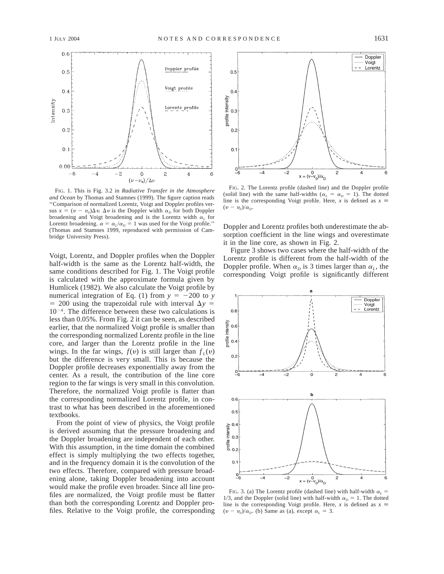

FIG. 1. This is Fig. 3.2 in *Radiative Transfer in the Atmosphere and Ocean* by Thomas and Stamnes (1999). The figure caption reads ''Comparison of normalized Lorentz, Voigt and Doppler profiles versus  $x = (v - v_0)\Delta v$ .  $\Delta v$  is the Doppler width  $\alpha_p$  for both Doppler broadening and Voigt broadening and is the Lorentz width  $\alpha_L$  for Lorentz broadening.  $\alpha = \alpha_L/\alpha_D = 1$  was used for the Voigt profile." (Thomas and Stamnes 1999, reproduced with permission of Cambridge University Press).

Voigt, Lorentz, and Doppler profiles when the Doppler half-width is the same as the Lorentz half-width, the same conditions described for Fig. 1. The Voigt profile is calculated with the approximate formula given by Humlicek (1982). We also calculate the Voigt profile by numerical integration of Eq. (1) from  $y = -200$  to *y*  $= 200$  using the trapezoidal rule with interval  $\Delta y =$  $10^{-4}$ . The difference between these two calculations is less than 0.05%. From Fig. 2 it can be seen, as described earlier, that the normalized Voigt profile is smaller than the corresponding normalized Lorentz profile in the line core, and larger than the Lorentz profile in the line wings. In the far wings,  $f(v)$  is still larger than  $f<sub>i</sub>(v)$ but the difference is very small. This is because the Doppler profile decreases exponentially away from the center. As a result, the contribution of the line core region to the far wings is very small in this convolution. Therefore, the normalized Voigt profile is flatter than the corresponding normalized Lorentz profile, in contrast to what has been described in the aforementioned textbooks.

From the point of view of physics, the Voigt profile is derived assuming that the pressure broadening and the Doppler broadening are independent of each other. With this assumption, in the time domain the combined effect is simply multiplying the two effects together, and in the frequency domain it is the convolution of the two effects. Therefore, compared with pressure broadening alone, taking Doppler broadening into account would make the profile even broader. Since all line profiles are normalized, the Voigt profile must be flatter than both the corresponding Lorentz and Doppler profiles. Relative to the Voigt profile, the corresponding



FIG. 2. The Lorentz profile (dashed line) and the Doppler profile (solid line) with the same half-widths ( $\alpha_L = \alpha_D = 1$ ). The dotted line is the corresponding Voigt profile. Here, *x* is defined as  $x \equiv$  $(v - v_0)/\alpha_D$ .

Doppler and Lorentz profiles both underestimate the absorption coefficient in the line wings and overestimate it in the line core, as shown in Fig. 2.

Figure 3 shows two cases where the half-width of the Lorentz profile is different from the half-width of the Doppler profile. When  $\alpha_D$  is 3 times larger than  $\alpha_L$ , the corresponding Voigt profile is significantly different



FIG. 3. (a) The Lorentz profile (dashed line) with half-width  $\alpha_l$  = 1/3, and the Doppler (solid line) with half-width  $\alpha_D = 1$ . The dotted line is the corresponding Voigt profile. Here, *x* is defined as  $x \equiv$  $(v - v_0)/\alpha_D$ . (b) Same as (a), except  $\alpha_L = 3$ .